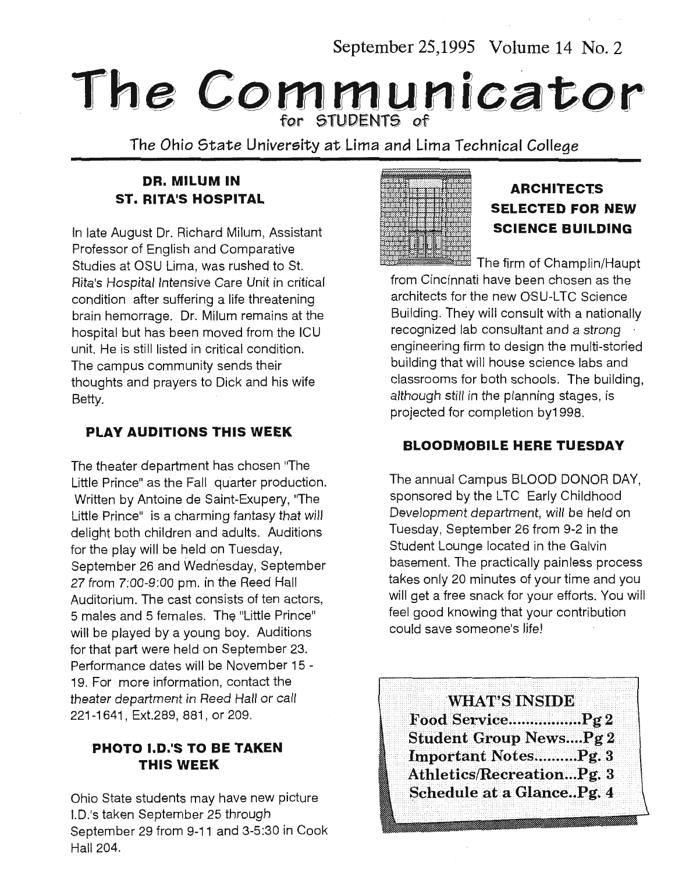September 25,1995 Volume 14 No. 2

# **The Communicator**  for STUDENTS of

The Ohio State University at Lima and Lima Technical College

# **DR. MILUM IN ST. RITA'S HOSPITAL**

In late August Dr. Richard Milum, Assistant Professor of English and Comparative Studies at OSU Lima, was rushed to St. Rita's Hospital Intensive Care Unit in critical condition after suffering a life threatening brain hemorrage. Dr. Milum remains at the hospital but has been moved from the ICU unit. He is still listed in critical condition. The campus community sends their thoughts and prayers to Dick and his wife Betty.

### **PLAY AUDITIONS THIS WEEK**

The theater department has chosen "The Little Prince" as the Fall quarter production. Written by Antoine de Saint-Exupery, "The Little Prince" is a charming fantasy that will delight both children and adults. Auditions for the play will be held on Tuesday, September 26 and Wednesday, September 27 from 7:00-9:00 pm. in the Reed Hall Auditorium. The cast consists of ten actors, 5 males and 5 females. The "Little Prince" will be played by a young boy. Auditions for that part were held on September 23. Performance dates will be November 15 - 19. For more information, contact the theater department in Reed Hall or call 221-1641, Ext.289, 881, or 209.

#### **PHOTO I.D.'S TO BE TAKEN THIS WEEK**

Ohio State students may have new picture 1.0.'s taken September 25 through September 29 from 9-11 and 3-5:30 in Cook Hall 204.



# **ARCHITECTS SELECTED FOR NEW SCIENCE BUILDING**

The firm of Champlin/Haupt

from Cincinnati have been chosen as the architects for the new OSU-LTC Science Building. They will consult with a nationally recognized lab consultant and a strong engineering firm to design the multi-storied building that will house science labs and classrooms for both schools. The building, although still in the planning stages, is projected for completion by1 998.

### **BLOODMOBILE HERE TUESDAY**

The annual Campus BLOOD DONOR DAY, sponsored by the LTC Early Childhood Development department, will be held on Tuesday, September 26 from 9-2 in the Student Lounge located in the Galvin basement. The practically painless process takes only 20 minutes of your time and you will get a free snack for your efforts. You will feel good knowing that your contribution could save someone's life!

**WHAT'S INSIDE** Food Service.................Pg 2 **Student Group News....Pg 2** Important Notes.........Pg. 3 Athletics/Recreation...Pg. 3 Schedule at a Glance..Pg. 4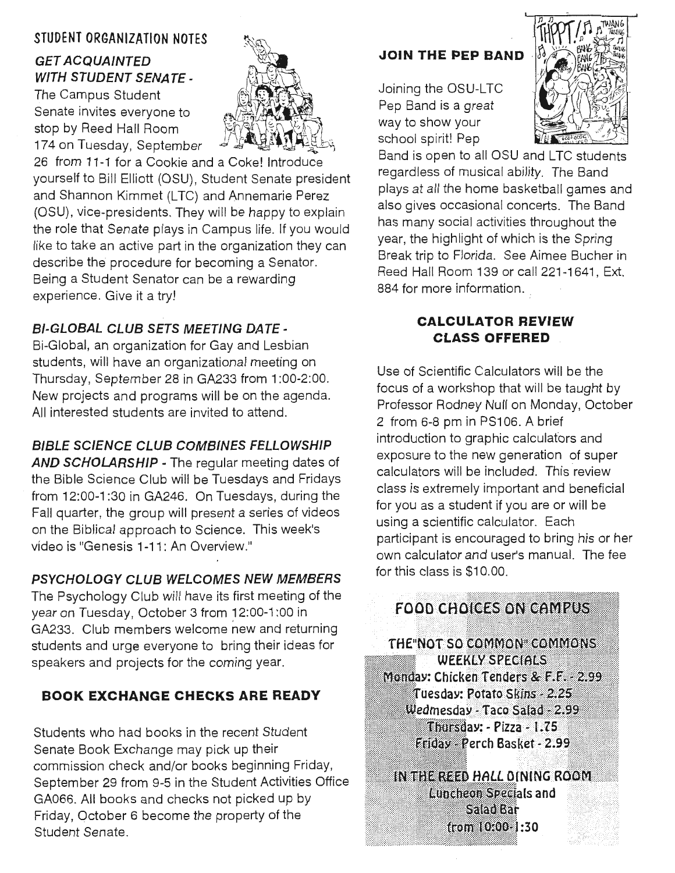### **STUDENT ORGANIZATION NOTES** ~

# **GET ACQUAINTED** *WITH STUDENT SENATE -*<br>The Campus Student

Senate invites everyone to stop by Reed Hall Room 174 on Tuesday, September



26 from 11-1 for a Cookie and a Coke! Introduce yourself to Bill Elliott (OSU), Student Senate president and Shannon Kimmet (LTC) and Annemarie Perez (OSU), vice-presidents. They will be happy to explain the role that Senate plays in Campus life. If you would like to take an active part in the organization they can describe the procedure for becoming a Senator. Being a Student Senator can be a rewarding experience. Give it a try!

## **Bl-GLOBAL CLUB SETS MEETING DATE** -

Bi-Global, an organization for Gay and Lesbian students, will have an organizational meeting on Thursday, September 28 in GA233 from 1:00-2:00. New projects and programs will be on the agenda. All interested students are invited to attend.

### **BIBLE SCIENCE CLUB COMBINES FELLOWSHIP**

**AND SCHOLARSHIP** - The regular meeting dates of the Bible Science Club will be Tuesdays and Fridays from 12:00-1 :30 in GA246. On Tuesdays, during the Fall quarter, the group will present a series of videos on the Biblical approach to Science. This week's video is "Genesis 1-11: An Overview."

# **PSYCHOLOGY CLUB WELCOMES NEW MEMBERS**

The Psychology Club will have its first meeting of the year on Tuesday, October 3 from 12:00-1:00 in GA233. Club members welcome new and returning students and urge everyone to bring their ideas for speakers and projects for the coming year.

# **BOOK EXCHANGE CHECKS ARE READY**

Students who had books in the recent Student Senate Book Exchange may pick up their commission check and/or books beginning Friday, September 29 from 9-5 in the Student Activities Office GA066. All books and checks not picked up by Friday, October 6 become the property of the Student Senate.

# **JOIN THE PEP BAND**

Joining the OSU-LTC Pep Band is a great way to show your school spirit! Pep



Band is open to all OSU and LTC students regardless of musical ability. The Band plays at all the home basketball games and also gives occasional concerts. The Band has many social activities throughout the year, the highlight of which is the Spring Break trip to Florida. See Aimee Bucher in Reed Hall Room 139 or call 221-1641, Ext. 884 for more information.

#### **CALCULATOR REVIEW CLASS OFFERED**

Use of Scientific Calculators will be the focus of a workshop that will be taught by Professor Rodney Null on Monday, October 2 from 6-8 pm in PS106. A brief introduction to graphic calculators and exposure to the new generation of super calculators will be included. This review class is extremely important and beneficial for you as a student if you are or will be using a scientific calculator. Each participant is encouraged to bring his or her own calculator and user's manual. The fee for this class is \$10.00.

# **FOOD CHOICES ON CAMPUS**

THE NOT SO COMMON COMMONS **WEEKLY SPECIALS** Monday: Chicken Tenders & F.F. 2.99 Tuesday: Potato Skins - 2.25 Wedmesday - Taco Salad - 2.99 Thursday: - Pizza - 1.75 **Eriday Perch Basket - 2.99** 

IN THE REED HALL DINING ROOM Luncheon Specials and '.Jilt i )l'' Salad Bar from 10:00 1:30 . .... ... ;.·.·· // ··········!····:····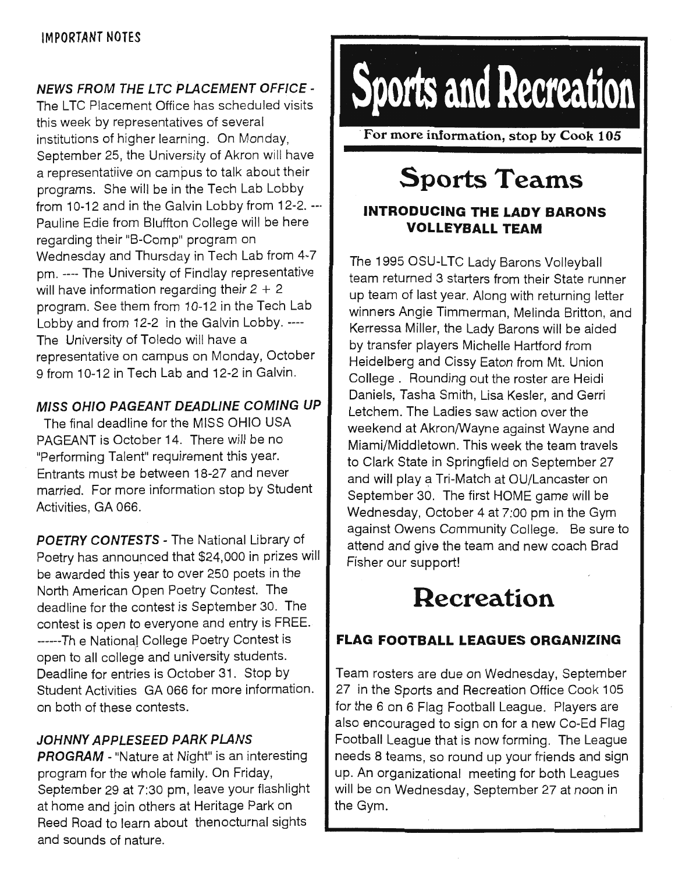### **NEWS FROM THE LTC PLACEMENT OFFICE** -

The LTC Placement Office has scheduled visits this week by representatives of several institutions of higher learning. On Monday, September 25, the University of Akron will have a representatiive on campus to talk about their programs. She will be in the Tech Lab Lobby from 10-12 and in the Galvin Lobby from 12-2. --· Pauline Edie from Bluffton College will be here regarding their "B-Comp" program on Wednesday and Thursday in Tech Lab from 4-7 pm.---- The University of Findlay representative will have information regarding their  $2 + 2$ program. See them from 10-12 in the Tech Lab Lobby and from 12-2 in the Galvin Lobby. ---- The University of Toledo will have a representative on campus on Monday, October 9 from 10-12 in Tech Lab and 12-2 in Galvin.

#### **MISS OHIO PAGEANT DEADLINE COMING UP**

The final deadline for the MISS OHIO USA PAGEANT is October 14. There will be no "Performing Talent" requirement this year. Entrants must be between 18-27 and never married. For more information stop by Student Activities, GA 066.

**POETRY CONTESTS** - The National Library of Poetry has announced that \$24,000 in prizes will be awarded this year to over 250 poets in the North American Open Poetry Contest. The deadline for the contest is September 30. The contest is open to everyone and entry is FREE. ------Th e National College Poetry Contest is open to all college and university students. Deadline for entries is October 31. Stop by Student Activities GA 066 for more information. on both of these contests.

### **JOHNNY APPLESEED PARK PLANS**

**PROGRAM** - "Nature at Night" is an interesting program for the whole family. On Friday, September 29 at 7:30 pm, leave your flashlight at home and join others at Heritage Park on Reed Road to learn about thenocturnal sights and sounds of nature.



· **For more information, stop by Cook 105** 

# **Sports Teams**

## **INTRODUCING THE LADY BARONS VOLLEYBALL TEAM**

The 1995 OSU-LTC Lady Barons Volleyball team returned 3 starters from their State runner up team of last year. Along with returning letter winners Angie Timmerman, Melinda Britton, and Kerressa Miller, the Lady Barons will be aided by transfer players Michelle Hartford from Heidelberg and Cissy Eaton from Mt. Union College . Rounding out the roster are Heidi Daniels, Tasha Smith, Lisa Kesler, and Gerri Letchem. The Ladies saw action over the weekend at Akron/Wayne against Wayne and Miami/Middletown. This week the team travels to Clark State in Springfield on September 27 and will play a Tri-Match at OU/Lancaster on September 30. The first HOME game will be Wednesday, October 4 at 7:00 pm in the Gym against Owens Community College. Be sure to attend and give the team and new coach Brad Fisher our support!

# **Recreation**

# **FLAG FOOTBALL LEAGUES ORGANIZING**

Team rosters are due on Wednesday, September 27 in the Sports and Recreation Office Cook 105 for the 6 on 6 Flag Football League. Players are also encouraged to sign on for a new Co-Ed Flag Football League that is now forming. The League needs 8 teams, so round up your friends and sign up. An organizational meeting for both Leagues will be on Wednesday, September 27 at noon in the Gym.